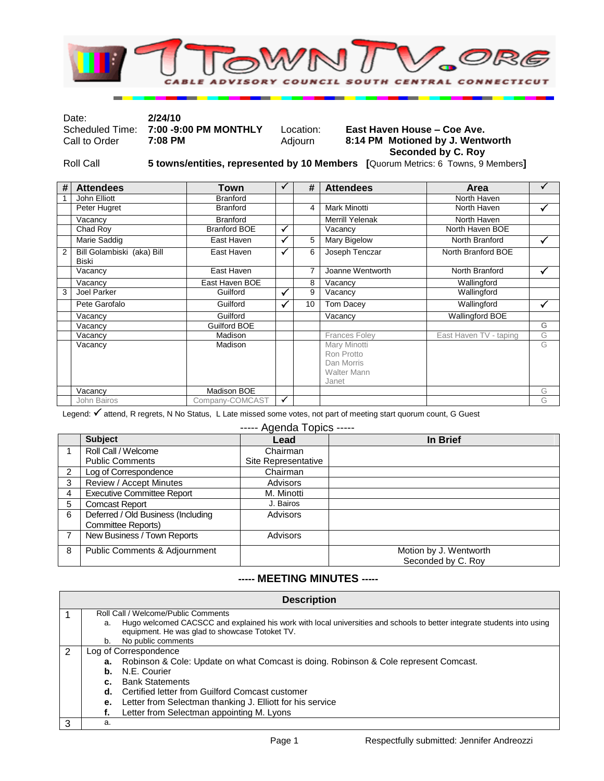

Date: **2/24/10**

## Scheduled Time: **7:00 -9:00 PM MONTHLY** Location: **East Haven House – Coe Ave.** 8:14 PM Motioned by J. Wentworth  **Seconded by C. Roy**

Roll Call **5 towns/entities, represented by 10 Members [**Quorum Metrics: 6 Towns, 9 Members**]**

| # | <b>Attendees</b>                           | Town                |              | #               | <b>Attendees</b>                                                        | Area                   |   |
|---|--------------------------------------------|---------------------|--------------|-----------------|-------------------------------------------------------------------------|------------------------|---|
|   | John Elliott                               | <b>Branford</b>     |              |                 |                                                                         | North Haven            |   |
|   | Peter Hugret                               | <b>Branford</b>     |              | 4               | Mark Minotti                                                            | North Haven            | ✓ |
|   | Vacancy                                    | <b>Branford</b>     |              |                 | <b>Merrill Yelenak</b>                                                  | North Haven            |   |
|   | Chad Roy                                   | <b>Branford BOE</b> | √            |                 | Vacancy                                                                 | North Haven BOE        |   |
|   | Marie Saddig                               | East Haven          | ✓            | 5               | Mary Bigelow                                                            | North Branford         | ✓ |
| 2 | Bill Golambiski (aka) Bill<br><b>Biski</b> | East Haven          | ✓            | 6               | Joseph Tenczar                                                          | North Branford BOE     |   |
|   | Vacancy                                    | East Haven          |              | $\overline{7}$  | Joanne Wentworth                                                        | North Branford         | ✓ |
|   | Vacancy                                    | East Haven BOE      |              | 8               | Vacancy                                                                 | Wallingford            |   |
| 3 | Joel Parker                                | Guilford            | ✓            | 9               | Vacancy                                                                 | Wallingford            |   |
|   | Pete Garofalo                              | Guilford            | ✓            | 10 <sup>1</sup> | Tom Dacey                                                               | Wallingford            | ✓ |
|   | Vacancy                                    | Guilford            |              |                 | Vacancy                                                                 | <b>Wallingford BOE</b> |   |
|   | Vacancy                                    | Guilford BOE        |              |                 |                                                                         |                        | G |
|   | Vacancy                                    | Madison             |              |                 | <b>Frances Foley</b>                                                    | East Haven TV - taping | G |
|   | Vacancy                                    | Madison             |              |                 | Mary Minotti<br>Ron Protto<br>Dan Morris<br><b>Walter Mann</b><br>Janet |                        | G |
|   | Vacancy                                    | Madison BOE         |              |                 |                                                                         |                        | G |
|   | <b>John Bairos</b>                         | Company-COMCAST     | $\checkmark$ |                 |                                                                         |                        | G |

Legend: √ attend, R regrets, N No Status, L Late missed some votes, not part of meeting start quorum count, G Guest

----- Agenda Topics -----

|               | <b>Subject</b>                                           | Lead                | In Brief                                     |
|---------------|----------------------------------------------------------|---------------------|----------------------------------------------|
|               | Roll Call / Welcome                                      | Chairman            |                                              |
|               | <b>Public Comments</b>                                   | Site Representative |                                              |
| $\mathcal{P}$ | Log of Correspondence                                    | Chairman            |                                              |
| 3             | Review / Accept Minutes                                  | Advisors            |                                              |
| 4             | <b>Executive Committee Report</b>                        | M. Minotti          |                                              |
| 5             | <b>Comcast Report</b>                                    | J. Bairos           |                                              |
| 6             | Deferred / Old Business (Including<br>Committee Reports) | <b>Advisors</b>     |                                              |
|               | New Business / Town Reports                              | <b>Advisors</b>     |                                              |
| 8             | Public Comments & Adjournment                            |                     | Motion by J. Wentworth<br>Seconded by C. Roy |

## **----- MEETING MINUTES -----**

|   | <b>Description</b> |                                                                                                                                                                |  |  |  |
|---|--------------------|----------------------------------------------------------------------------------------------------------------------------------------------------------------|--|--|--|
|   | a.                 | Roll Call / Welcome/Public Comments<br>Hugo welcomed CACSCC and explained his work with local universities and schools to better integrate students into using |  |  |  |
|   |                    | equipment. He was glad to showcase Totoket TV.                                                                                                                 |  |  |  |
|   | b.                 | No public comments                                                                                                                                             |  |  |  |
| 2 |                    | Log of Correspondence                                                                                                                                          |  |  |  |
|   |                    | <b>a.</b> Robinson & Cole: Update on what Comcast is doing. Robinson & Cole represent Comcast.                                                                 |  |  |  |
|   |                    | <b>b.</b> N.E. Courier                                                                                                                                         |  |  |  |
|   |                    | c. Bank Statements                                                                                                                                             |  |  |  |
|   |                    | d. Certified letter from Guilford Comcast customer                                                                                                             |  |  |  |
|   |                    | <b>e.</b> Letter from Selectman thanking J. Elliott for his service                                                                                            |  |  |  |
|   |                    | Letter from Selectman appointing M. Lyons                                                                                                                      |  |  |  |
| 3 | a.                 |                                                                                                                                                                |  |  |  |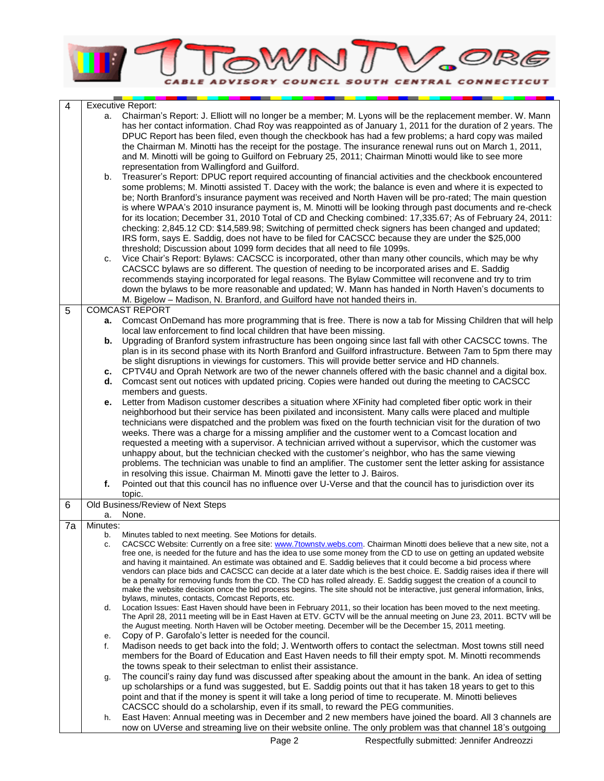

| $\overline{4}$ |          | <b>Executive Report:</b>                                                                                                                                                                                                                     |
|----------------|----------|----------------------------------------------------------------------------------------------------------------------------------------------------------------------------------------------------------------------------------------------|
|                | а.       | Chairman's Report: J. Elliott will no longer be a member; M. Lyons will be the replacement member. W. Mann                                                                                                                                   |
|                |          | has her contact information. Chad Roy was reappointed as of January 1, 2011 for the duration of 2 years. The                                                                                                                                 |
|                |          | DPUC Report has been filed, even though the checkbook has had a few problems; a hard copy was mailed                                                                                                                                         |
|                |          | the Chairman M. Minotti has the receipt for the postage. The insurance renewal runs out on March 1, 2011,                                                                                                                                    |
|                |          | and M. Minotti will be going to Guilford on February 25, 2011; Chairman Minotti would like to see more                                                                                                                                       |
|                |          | representation from Wallingford and Guilford.                                                                                                                                                                                                |
|                | b.       | Treasurer's Report: DPUC report required accounting of financial activities and the checkbook encountered                                                                                                                                    |
|                |          | some problems; M. Minotti assisted T. Dacey with the work; the balance is even and where it is expected to                                                                                                                                   |
|                |          | be; North Branford's insurance payment was received and North Haven will be pro-rated; The main question<br>is where WPAA's 2010 insurance payment is, M. Minotti will be looking through past documents and re-check                        |
|                |          | for its location; December 31, 2010 Total of CD and Checking combined: 17,335.67; As of February 24, 2011:                                                                                                                                   |
|                |          | checking: 2,845.12 CD: \$14,589.98; Switching of permitted check signers has been changed and updated;                                                                                                                                       |
|                |          | IRS form, says E. Saddig, does not have to be filed for CACSCC because they are under the \$25,000                                                                                                                                           |
|                |          | threshold; Discussion about 1099 form decides that all need to file 1099s.                                                                                                                                                                   |
|                | c.       | Vice Chair's Report: Bylaws: CACSCC is incorporated, other than many other councils, which may be why                                                                                                                                        |
|                |          | CACSCC bylaws are so different. The question of needing to be incorporated arises and E. Saddig                                                                                                                                              |
|                |          | recommends staying incorporated for legal reasons. The Bylaw Committee will reconvene and try to trim                                                                                                                                        |
|                |          | down the bylaws to be more reasonable and updated; W. Mann has handed in North Haven's documents to                                                                                                                                          |
|                |          | M. Bigelow - Madison, N. Branford, and Guilford have not handed theirs in.                                                                                                                                                                   |
| 5              |          | <b>COMCAST REPORT</b>                                                                                                                                                                                                                        |
|                |          | a. Comcast OnDemand has more programming that is free. There is now a tab for Missing Children that will help<br>local law enforcement to find local children that have been missing.                                                        |
|                | b.       | Upgrading of Branford system infrastructure has been ongoing since last fall with other CACSCC towns. The                                                                                                                                    |
|                |          | plan is in its second phase with its North Branford and Guilford infrastructure. Between 7am to 5pm there may                                                                                                                                |
|                |          | be slight disruptions in viewings for customers. This will provide better service and HD channels.                                                                                                                                           |
|                |          | c. CPTV4U and Oprah Network are two of the newer channels offered with the basic channel and a digital box.                                                                                                                                  |
|                | d.       | Comcast sent out notices with updated pricing. Copies were handed out during the meeting to CACSCC                                                                                                                                           |
|                |          | members and guests.                                                                                                                                                                                                                          |
|                | е.       | Letter from Madison customer describes a situation where XFinity had completed fiber optic work in their                                                                                                                                     |
|                |          | neighborhood but their service has been pixilated and inconsistent. Many calls were placed and multiple<br>technicians were dispatched and the problem was fixed on the fourth technician visit for the duration of two                      |
|                |          | weeks. There was a charge for a missing amplifier and the customer went to a Comcast location and                                                                                                                                            |
|                |          | requested a meeting with a supervisor. A technician arrived without a supervisor, which the customer was                                                                                                                                     |
|                |          | unhappy about, but the technician checked with the customer's neighbor, who has the same viewing                                                                                                                                             |
|                |          | problems. The technician was unable to find an amplifier. The customer sent the letter asking for assistance                                                                                                                                 |
|                |          | in resolving this issue. Chairman M. Minotti gave the letter to J. Bairos.                                                                                                                                                                   |
|                | f.       | Pointed out that this council has no influence over U-Verse and that the council has to jurisdiction over its                                                                                                                                |
|                |          | topic.<br>Old Business/Review of Next Steps                                                                                                                                                                                                  |
| 6              | а.       | None.                                                                                                                                                                                                                                        |
| 7a             | Minutes: |                                                                                                                                                                                                                                              |
|                | b.       | Minutes tabled to next meeting. See Motions for details.                                                                                                                                                                                     |
|                | c.       | CACSCC Website: Currently on a free site: www.7townstv.webs.com. Chairman Minotti does believe that a new site, not a                                                                                                                        |
|                |          | free one, is needed for the future and has the idea to use some money from the CD to use on getting an updated website<br>and having it maintained. An estimate was obtained and E. Saddig believes that it could become a bid process where |
|                |          | vendors can place bids and CACSCC can decide at a later date which is the best choice. E. Saddig raises idea if there will                                                                                                                   |
|                |          | be a penalty for removing funds from the CD. The CD has rolled already. E. Saddig suggest the creation of a council to                                                                                                                       |
|                |          | make the website decision once the bid process begins. The site should not be interactive, just general information, links,                                                                                                                  |
|                | d.       | bylaws, minutes, contacts, Comcast Reports, etc.<br>Location Issues: East Haven should have been in February 2011, so their location has been moved to the next meeting.                                                                     |
|                |          | The April 28, 2011 meeting will be in East Haven at ETV. GCTV will be the annual meeting on June 23, 2011. BCTV will be                                                                                                                      |
|                |          | the August meeting. North Haven will be October meeting. December will be the December 15, 2011 meeting.                                                                                                                                     |
|                | е.       | Copy of P. Garofalo's letter is needed for the council.                                                                                                                                                                                      |
|                | f.       | Madison needs to get back into the fold; J. Wentworth offers to contact the selectman. Most towns still need                                                                                                                                 |
|                |          | members for the Board of Education and East Haven needs to fill their empty spot. M. Minotti recommends                                                                                                                                      |
|                | g.       | the towns speak to their selectman to enlist their assistance.<br>The council's rainy day fund was discussed after speaking about the amount in the bank. An idea of setting                                                                 |
|                |          | up scholarships or a fund was suggested, but E. Saddig points out that it has taken 18 years to get to this                                                                                                                                  |
|                |          | point and that if the money is spent it will take a long period of time to recuperate. M. Minotti believes                                                                                                                                   |
|                |          | CACSCC should do a scholarship, even if its small, to reward the PEG communities.                                                                                                                                                            |
|                | h.       | East Haven: Annual meeting was in December and 2 new members have joined the board. All 3 channels are                                                                                                                                       |
|                |          | now on UVerse and streaming live on their website online. The only problem was that channel 18's outgoing                                                                                                                                    |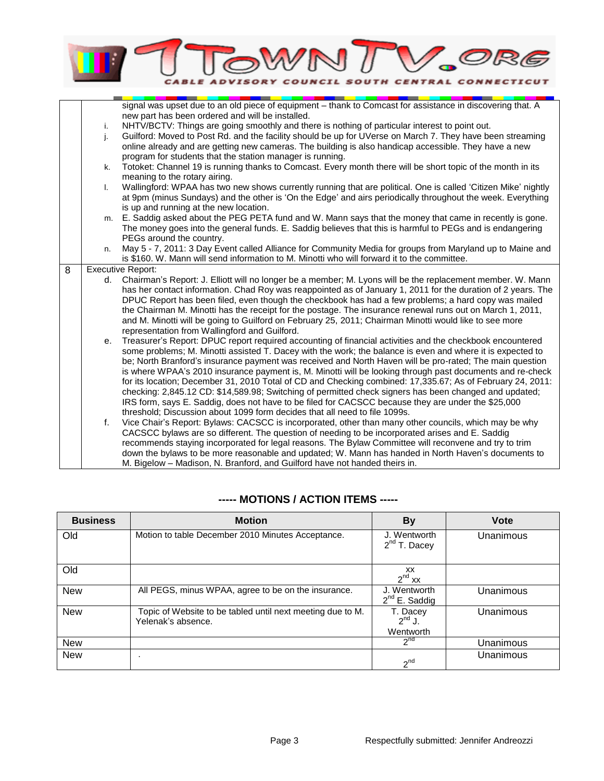

|   |    | signal was upset due to an old piece of equipment - thank to Comcast for assistance in discovering that. A     |
|---|----|----------------------------------------------------------------------------------------------------------------|
|   |    | new part has been ordered and will be installed.                                                               |
|   | i. | NHTV/BCTV: Things are going smoothly and there is nothing of particular interest to point out.                 |
|   | j. | Guilford: Moved to Post Rd. and the facility should be up for UVerse on March 7. They have been streaming      |
|   |    | online already and are getting new cameras. The building is also handicap accessible. They have a new          |
|   |    | program for students that the station manager is running.                                                      |
|   | k. | Totoket: Channel 19 is running thanks to Comcast. Every month there will be short topic of the month in its    |
|   |    | meaning to the rotary airing.                                                                                  |
|   | I. | Wallingford: WPAA has two new shows currently running that are political. One is called 'Citizen Mike' nightly |
|   |    | at 9pm (minus Sundays) and the other is 'On the Edge' and airs periodically throughout the week. Everything    |
|   |    | is up and running at the new location.                                                                         |
|   | m. | E. Saddig asked about the PEG PETA fund and W. Mann says that the money that came in recently is gone.         |
|   |    | The money goes into the general funds. E. Saddig believes that this is harmful to PEGs and is endangering      |
|   |    | PEGs around the country.                                                                                       |
|   | n. | May 5 - 7, 2011: 3 Day Event called Alliance for Community Media for groups from Maryland up to Maine and      |
|   |    | is \$160. W. Mann will send information to M. Minotti who will forward it to the committee.                    |
| 8 |    | <b>Executive Report:</b>                                                                                       |
|   | d. | Chairman's Report: J. Elliott will no longer be a member; M. Lyons will be the replacement member. W. Mann     |
|   |    | has her contact information. Chad Roy was reappointed as of January 1, 2011 for the duration of 2 years. The   |
|   |    | DPUC Report has been filed, even though the checkbook has had a few problems; a hard copy was mailed           |
|   |    | the Chairman M. Minotti has the receipt for the postage. The insurance renewal runs out on March 1, 2011,      |
|   |    | and M. Minotti will be going to Guilford on February 25, 2011; Chairman Minotti would like to see more         |
|   |    | representation from Wallingford and Guilford.                                                                  |
|   | e. | Treasurer's Report: DPUC report required accounting of financial activities and the checkbook encountered      |
|   |    | some problems; M. Minotti assisted T. Dacey with the work; the balance is even and where it is expected to     |
|   |    | be; North Branford's insurance payment was received and North Haven will be pro-rated; The main question       |
|   |    | is where WPAA's 2010 insurance payment is, M. Minotti will be looking through past documents and re-check      |
|   |    | for its location; December 31, 2010 Total of CD and Checking combined: 17,335.67; As of February 24, 2011:     |
|   |    | checking: 2,845.12 CD: \$14,589.98; Switching of permitted check signers has been changed and updated;         |
|   |    | IRS form, says E. Saddig, does not have to be filed for CACSCC because they are under the \$25,000             |
|   |    | threshold; Discussion about 1099 form decides that all need to file 1099s.                                     |
|   | f. | Vice Chair's Report: Bylaws: CACSCC is incorporated, other than many other councils, which may be why          |
|   |    | CACSCC bylaws are so different. The question of needing to be incorporated arises and E. Saddig                |
|   |    | recommends staying incorporated for legal reasons. The Bylaw Committee will reconvene and try to trim          |
|   |    | down the bylaws to be more reasonable and updated; W. Mann has handed in North Haven's documents to            |
|   |    | M. Bigelow - Madison, N. Branford, and Guilford have not handed theirs in.                                     |

| <b>Business</b> | <b>Motion</b>                                                                    | <b>By</b>                            | <b>Vote</b> |
|-----------------|----------------------------------------------------------------------------------|--------------------------------------|-------------|
| Old             | Motion to table December 2010 Minutes Acceptance.                                | J. Wentworth<br>$2^{nd}$ T. Dacey    | Unanimous   |
| Old             |                                                                                  | XX<br>$2^{nd}$ xx                    |             |
| <b>New</b>      | All PEGS, minus WPAA, agree to be on the insurance.                              | J. Wentworth<br>$2^{nd}$ E. Saddig   | Unanimous   |
| <b>New</b>      | Topic of Website to be tabled until next meeting due to M.<br>Yelenak's absence. | T. Dacey<br>$2^{nd}$ J.<br>Wentworth | Unanimous   |
| <b>New</b>      |                                                                                  | 2 <sup>nd</sup>                      | Unanimous   |
| <b>New</b>      |                                                                                  | $2^{nd}$                             | Unanimous   |

## **----- MOTIONS / ACTION ITEMS -----**